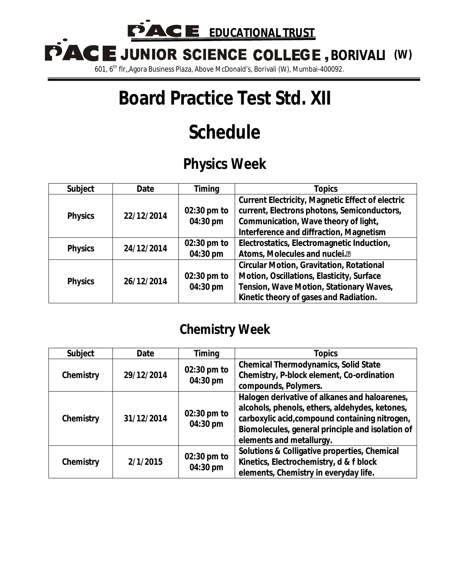PACI **E** EDUCATIONAL TRUST

**BORIVALI (W)**

601, 6th flr,,Agora Business Plaza, Above McDonald's, Borivali (W), Mumbai-400092.

# **Board Practice Test Std. XII**

# **Schedule**

## **Physics Week**

| <b>Subject</b> | <b>Date</b> | <b>Timing</b>           | <b>Topics</b>                                                                                                                                                                             |
|----------------|-------------|-------------------------|-------------------------------------------------------------------------------------------------------------------------------------------------------------------------------------------|
| <b>Physics</b> | 22/12/2014  | 02:30 pm to<br>04:30 pm | <b>Current Electricity, Magnetic Effect of electric</b><br>current, Electrons photons, Semiconductors,<br>Communication, Wave theory of light,<br>Interference and diffraction, Magnetism |
| <b>Physics</b> | 24/12/2014  | 02:30 pm to<br>04:30 pm | Electrostatics, Electromagnetic Induction,<br>Atoms, Molecules and nuclei. <sup>®</sup>                                                                                                   |
| <b>Physics</b> | 26/12/2014  | 02:30 pm to<br>04:30 pm | <b>Circular Motion, Gravitation, Rotational</b><br>Motion, Oscillations, Elasticity, Surface<br>Tension, Wave Motion, Stationary Waves,<br>Kinetic theory of gases and Radiation.         |

### **Chemistry Week**

| <b>Subject</b> | <b>Date</b> | <b>Timing</b>           | <b>Topics</b>                                                                                                                                                                                                                     |
|----------------|-------------|-------------------------|-----------------------------------------------------------------------------------------------------------------------------------------------------------------------------------------------------------------------------------|
| Chemistry      | 29/12/2014  | 02:30 pm to<br>04:30 pm | <b>Chemical Thermodynamics, Solid State</b><br>Chemistry, P-block element, Co-ordination<br>compounds, Polymers.                                                                                                                  |
| Chemistry      | 31/12/2014  | 02:30 pm to<br>04:30 pm | Halogen derivative of alkanes and haloarenes,<br>alcohols, phenols, ethers, aldehydes, ketones,<br>carboxylic acid, compound containing nitrogen,<br>Biomolecules, general principle and isolation of<br>elements and metallurgy. |
| Chemistry      | 2/1/2015    | 02:30 pm to<br>04:30 pm | Solutions & Colligative properties, Chemical<br>Kinetics, Electrochemistry, d & f block<br>elements, Chemistry in everyday life.                                                                                                  |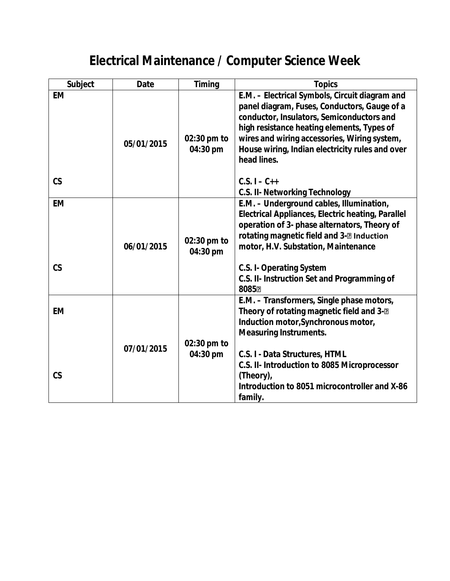## **Electrical Maintenance / Computer Science Week**

| <b>Subject</b>             | <b>Date</b> | <b>Timing</b>           | <b>Topics</b>                                                                                                                                                                                                                                                                                                                                                          |
|----------------------------|-------------|-------------------------|------------------------------------------------------------------------------------------------------------------------------------------------------------------------------------------------------------------------------------------------------------------------------------------------------------------------------------------------------------------------|
| <b>EM</b><br>$\mathsf{CS}$ | 05/01/2015  | 02:30 pm to<br>04:30 pm | E.M. - Electrical Symbols, Circuit diagram and<br>panel diagram, Fuses, Conductors, Gauge of a<br>conductor, Insulators, Semiconductors and<br>high resistance heating elements, Types of<br>wires and wiring accessories, Wiring system,<br>House wiring, Indian electricity rules and over<br>head lines.<br>$C.S. I - C++$<br><b>C.S. II- Networking Technology</b> |
| <b>EM</b><br>$\mathsf{CS}$ | 06/01/2015  | 02:30 pm to<br>04:30 pm | E.M. - Underground cables, Illumination,<br><b>Electrical Appliances, Electric heating, Parallel</b><br>operation of 3- phase alternators, Theory of<br>rotating magnetic field and 3-2 Induction<br>motor, H.V. Substation, Maintenance<br><b>C.S. I- Operating System</b><br>C.S. II- Instruction Set and Programming of<br>8085团                                    |
| <b>EM</b><br>$\mathsf{CS}$ | 07/01/2015  | 02:30 pm to<br>04:30 pm | E.M. - Transformers, Single phase motors,<br>Theory of rotating magnetic field and 3-2<br>Induction motor, Synchronous motor,<br><b>Measuring Instruments.</b><br>C.S. I - Data Structures, HTML<br>C.S. II- Introduction to 8085 Microprocessor<br>(Theory),<br>Introduction to 8051 microcontroller and X-86<br>family.                                              |